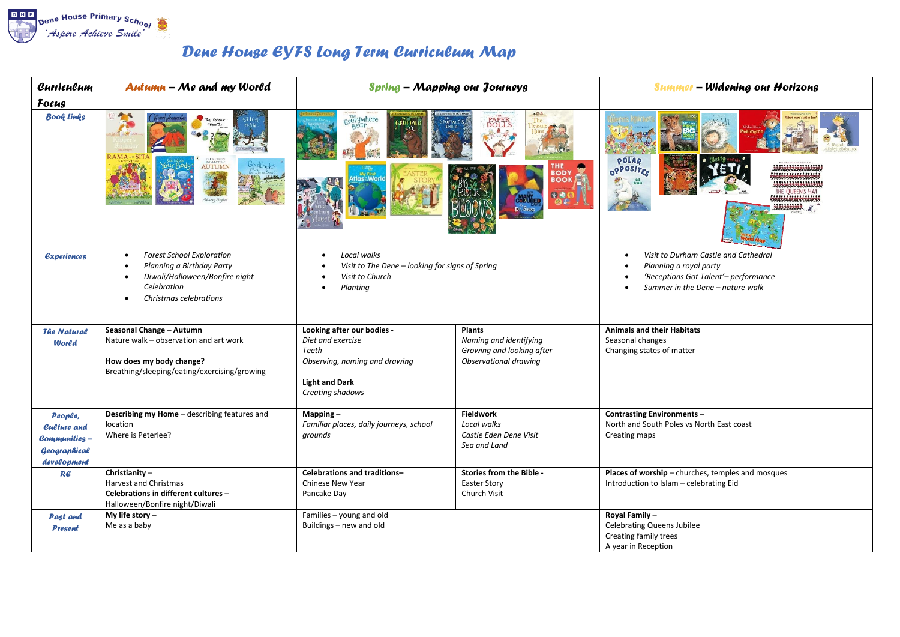

## *Dene House EYFS Long Term Curriculum Map*

| Curriculum                                                                    | <b>Autumn - Me and my World</b>                                                                                                                                    | <b>Spring - Mapping our Journeys</b>                                                                                                   |                                                                                               | <b>Summer - Widening our Horizons</b>                                                                                                      |
|-------------------------------------------------------------------------------|--------------------------------------------------------------------------------------------------------------------------------------------------------------------|----------------------------------------------------------------------------------------------------------------------------------------|-----------------------------------------------------------------------------------------------|--------------------------------------------------------------------------------------------------------------------------------------------|
| Focus                                                                         |                                                                                                                                                                    |                                                                                                                                        |                                                                                               |                                                                                                                                            |
| <b>Book Links</b>                                                             | RAMA AND SIT<br>AUTUMN                                                                                                                                             | <b>Fyerywhere</b><br><b>GRÜFFALI</b>                                                                                                   | The<br><b>PAPER</b><br>DOLLS<br>THE<br><b>BODY</b><br><b>BOOK</b>                             | POLAR<br>OPPOSITES                                                                                                                         |
| <b><i><u>Experiences</u></i></b>                                              | <b>Forest School Exploration</b><br>$\bullet$<br>Planning a Birthday Party<br>Diwali/Halloween/Bonfire night<br>$\bullet$<br>Celebration<br>Christmas celebrations | Local walks<br>$\bullet$<br>Visit to The Dene - looking for signs of Spring<br>Visit to Church<br>Planting                             |                                                                                               | Visit to Durham Castle and Cathedral<br>Planning a royal party<br>'Receptions Got Talent'- performance<br>Summer in the Dene - nature walk |
| <b>The Natural</b><br>World                                                   | Seasonal Change - Autumn<br>Nature walk - observation and art work<br>How does my body change?<br>Breathing/sleeping/eating/exercising/growing                     | Looking after our bodies -<br>Diet and exercise<br>Teeth<br>Observing, naming and drawing<br><b>Light and Dark</b><br>Creating shadows | <b>Plants</b><br>Naming and identifying<br>Growing and looking after<br>Observational drawing | <b>Animals and their Habitats</b><br>Seasonal changes<br>Changing states of matter                                                         |
| People,<br><b>Culture and</b><br>Communities –<br>Geographical<br>development | Describing my Home - describing features and<br>location<br>Where is Peterlee?                                                                                     | $Mapping -$<br>Familiar places, daily journeys, school<br>grounds                                                                      | <b>Fieldwork</b><br>Local walks<br>Castle Eden Dene Visit<br>Sea and Land                     | <b>Contrasting Environments -</b><br>North and South Poles vs North East coast<br>Creating maps                                            |
| Re                                                                            | Christianity-<br><b>Harvest and Christmas</b><br>Celebrations in different cultures -<br>Halloween/Bonfire night/Diwali                                            | Celebrations and traditions-<br><b>Chinese New Year</b><br>Pancake Day                                                                 | Stories from the Bible -<br><b>Easter Story</b><br>Church Visit                               | Places of worship - churches, temples and mosques<br>Introduction to Islam - celebrating Eid                                               |
| <b>Past and</b><br><b>Present</b>                                             | My life story $-$<br>Me as a baby                                                                                                                                  | Families - young and old<br>Buildings - new and old                                                                                    |                                                                                               | Royal Family-<br><b>Celebrating Queens Jubilee</b><br>Creating family trees<br>A year in Reception                                         |